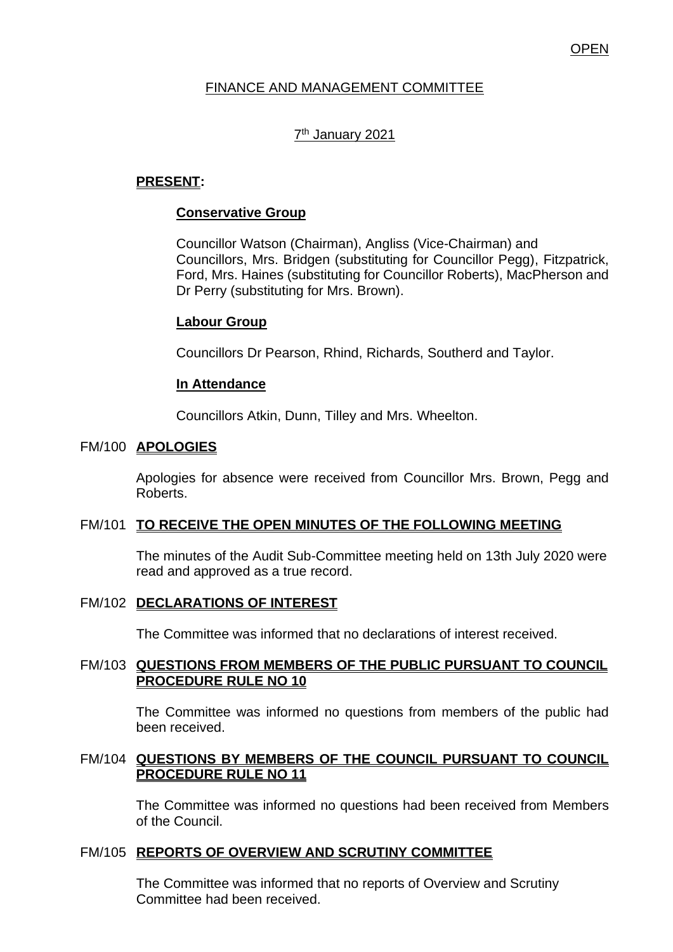## **OPEN**

## FINANCE AND MANAGEMENT COMMITTEE

## 7<sup>th</sup> January 2021

## **PRESENT:**

## **Conservative Group**

Councillor Watson (Chairman), Angliss (Vice-Chairman) and Councillors, Mrs. Bridgen (substituting for Councillor Pegg), Fitzpatrick, Ford, Mrs. Haines (substituting for Councillor Roberts), MacPherson and Dr Perry (substituting for Mrs. Brown).

#### **Labour Group**

Councillors Dr Pearson, Rhind, Richards, Southerd and Taylor.

#### **In Attendance**

Councillors Atkin, Dunn, Tilley and Mrs. Wheelton.

#### FM/100 **APOLOGIES**

Apologies for absence were received from Councillor Mrs. Brown, Pegg and Roberts.

## FM/101 **TO RECEIVE THE OPEN MINUTES OF THE FOLLOWING MEETING**

The minutes of the Audit Sub-Committee meeting held on 13th July 2020 were read and approved as a true record.

#### FM/102 **DECLARATIONS OF INTEREST**

The Committee was informed that no declarations of interest received.

## FM/103 **QUESTIONS FROM MEMBERS OF THE PUBLIC PURSUANT TO COUNCIL PROCEDURE RULE NO 10**

The Committee was informed no questions from members of the public had been received.

#### FM/104 **QUESTIONS BY MEMBERS OF THE COUNCIL PURSUANT TO COUNCIL PROCEDURE RULE NO 11**

The Committee was informed no questions had been received from Members of the Council.

#### FM/105 **REPORTS OF OVERVIEW AND SCRUTINY COMMITTEE**

The Committee was informed that no reports of Overview and Scrutiny Committee had been received.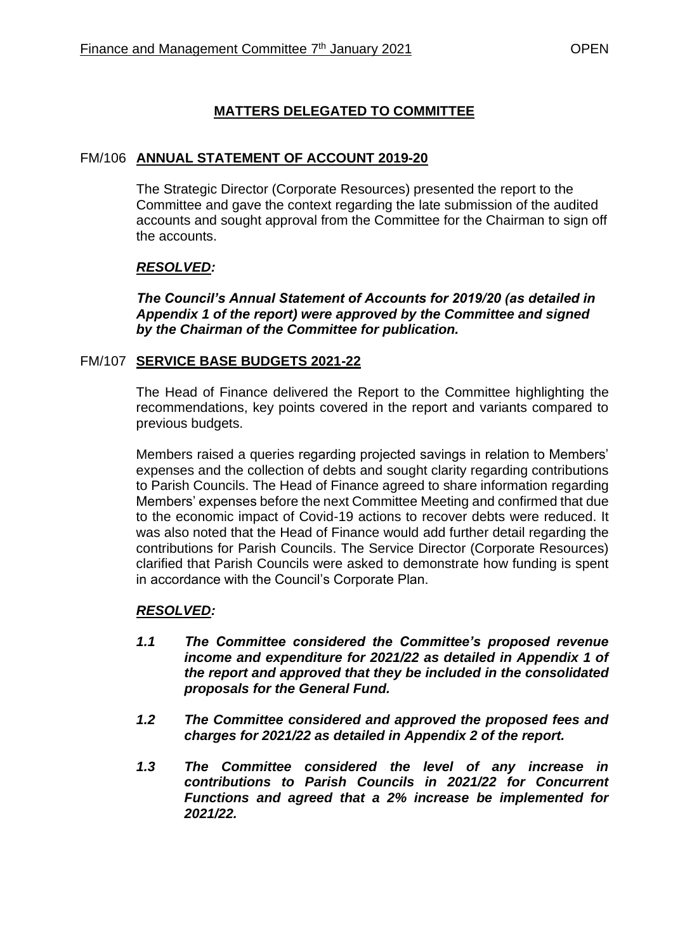# **MATTERS DELEGATED TO COMMITTEE**

## FM/106 **ANNUAL STATEMENT OF ACCOUNT 2019-20**

The Strategic Director (Corporate Resources) presented the report to the Committee and gave the context regarding the late submission of the audited accounts and sought approval from the Committee for the Chairman to sign off the accounts.

## *RESOLVED:*

*The Council's Annual Statement of Accounts for 2019/20 (as detailed in Appendix 1 of the report) were approved by the Committee and signed by the Chairman of the Committee for publication.*

## FM/107 **SERVICE BASE BUDGETS 2021-22**

The Head of Finance delivered the Report to the Committee highlighting the recommendations, key points covered in the report and variants compared to previous budgets.

Members raised a queries regarding projected savings in relation to Members' expenses and the collection of debts and sought clarity regarding contributions to Parish Councils. The Head of Finance agreed to share information regarding Members' expenses before the next Committee Meeting and confirmed that due to the economic impact of Covid-19 actions to recover debts were reduced. It was also noted that the Head of Finance would add further detail regarding the contributions for Parish Councils. The Service Director (Corporate Resources) clarified that Parish Councils were asked to demonstrate how funding is spent in accordance with the Council's Corporate Plan.

## *RESOLVED:*

- *1.1 The Committee considered the Committee's proposed revenue income and expenditure for 2021/22 as detailed in Appendix 1 of the report and approved that they be included in the consolidated proposals for the General Fund.*
- *1.2 The Committee considered and approved the proposed fees and charges for 2021/22 as detailed in Appendix 2 of the report.*
- *1.3 The Committee considered the level of any increase in contributions to Parish Councils in 2021/22 for Concurrent Functions and agreed that a 2% increase be implemented for 2021/22.*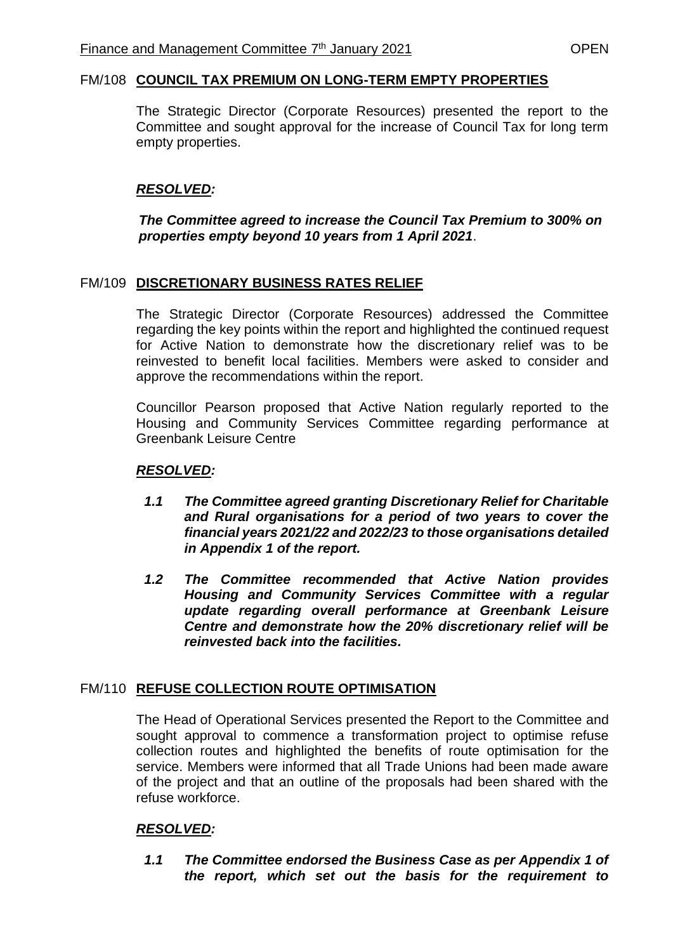#### FM/108 **COUNCIL TAX PREMIUM ON LONG-TERM EMPTY PROPERTIES**

The Strategic Director (Corporate Resources) presented the report to the Committee and sought approval for the increase of Council Tax for long term empty properties.

### *RESOLVED:*

### *The Committee agreed to increase the Council Tax Premium to 300% on properties empty beyond 10 years from 1 April 2021*.

#### FM/109 **DISCRETIONARY BUSINESS RATES RELIEF**

The Strategic Director (Corporate Resources) addressed the Committee regarding the key points within the report and highlighted the continued request for Active Nation to demonstrate how the discretionary relief was to be reinvested to benefit local facilities. Members were asked to consider and approve the recommendations within the report.

Councillor Pearson proposed that Active Nation regularly reported to the Housing and Community Services Committee regarding performance at Greenbank Leisure Centre

#### *RESOLVED:*

- *1.1 The Committee agreed granting Discretionary Relief for Charitable and Rural organisations for a period of two years to cover the financial years 2021/22 and 2022/23 to those organisations detailed in Appendix 1 of the report.*
- *1.2 The Committee recommended that Active Nation provides Housing and Community Services Committee with a regular update regarding overall performance at Greenbank Leisure Centre and demonstrate how the 20% discretionary relief will be reinvested back into the facilities.*

#### FM/110 **REFUSE COLLECTION ROUTE OPTIMISATION**

The Head of Operational Services presented the Report to the Committee and sought approval to commence a transformation project to optimise refuse collection routes and highlighted the benefits of route optimisation for the service. Members were informed that all Trade Unions had been made aware of the project and that an outline of the proposals had been shared with the refuse workforce.

## *RESOLVED:*

*1.1 The Committee endorsed the Business Case as per Appendix 1 of the report, which set out the basis for the requirement to*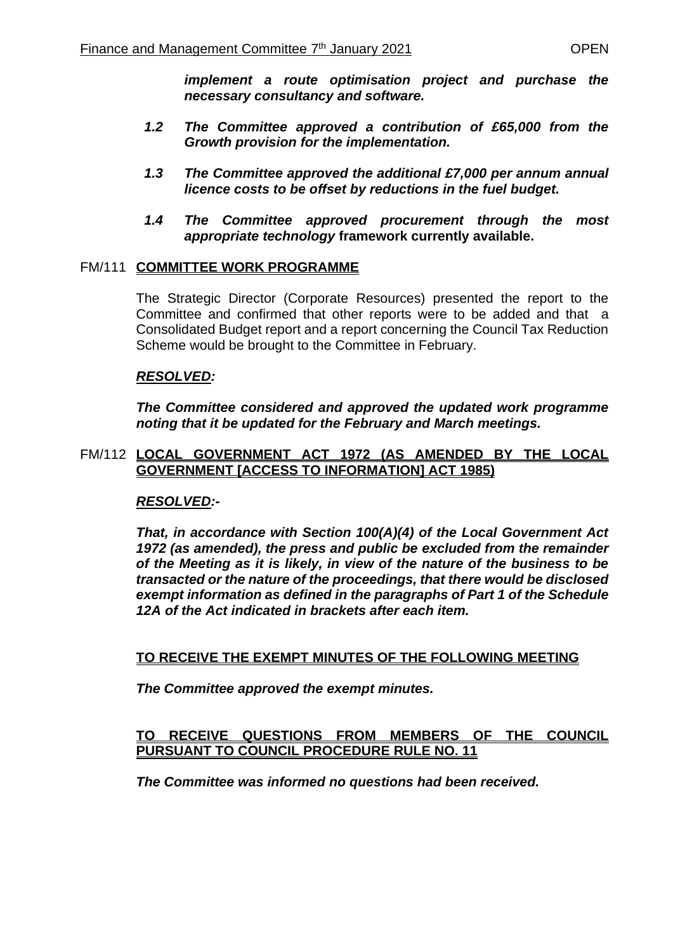*implement a route optimisation project and purchase the necessary consultancy and software.*

- *1.2 The Committee approved a contribution of £65,000 from the Growth provision for the implementation.*
- *1.3 The Committee approved the additional £7,000 per annum annual licence costs to be offset by reductions in the fuel budget.*
- *1.4 The Committee approved procurement through the most appropriate technology* **framework currently available.**

## FM/111 **COMMITTEE WORK PROGRAMME**

The Strategic Director (Corporate Resources) presented the report to the Committee and confirmed that other reports were to be added and that a Consolidated Budget report and a report concerning the Council Tax Reduction Scheme would be brought to the Committee in February.

## *RESOLVED:*

*The Committee considered and approved the updated work programme noting that it be updated for the February and March meetings.*

## FM/112 **LOCAL GOVERNMENT ACT 1972 (AS AMENDED BY THE LOCAL GOVERNMENT [ACCESS TO INFORMATION] ACT 1985)**

## *RESOLVED:-*

*That, in accordance with Section 100(A)(4) of the Local Government Act 1972 (as amended), the press and public be excluded from the remainder of the Meeting as it is likely, in view of the nature of the business to be transacted or the nature of the proceedings, that there would be disclosed exempt information as defined in the paragraphs of Part 1 of the Schedule 12A of the Act indicated in brackets after each item.*

## **TO RECEIVE THE EXEMPT MINUTES OF THE FOLLOWING MEETING**

*The Committee approved the exempt minutes.*

## **TO RECEIVE QUESTIONS FROM MEMBERS OF THE COUNCIL PURSUANT TO COUNCIL PROCEDURE RULE NO. 11**

*The Committee was informed no questions had been received.*